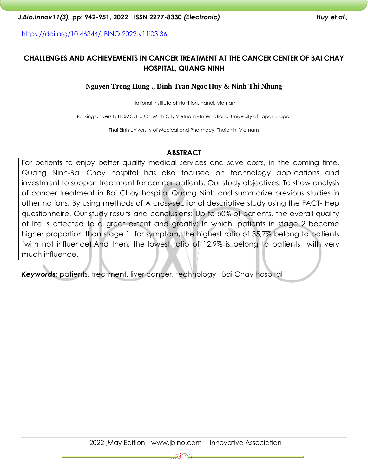<https://doi.org/10.46344/JBINO.2022.v11i03.36>

# **CHALLENGES AND ACHIEVEMENTS IN CANCER TREATMENT AT THE CANCER CENTER OF BAI CHAY HOSPITAL, QUANG NINH**

#### **Nguyen Trong Hung ., Dinh Tran Ngoc Huy & Ninh Thi Nhung**

National Institute of Nutrition, Hanoi, Vietnam

Banking University HCMC, Ho Chi Minh City Vietnam - International University of Japan, Japan

Thai Binh University of Medical and Pharmacy, Thaibinh, Vietnam

#### **ABSTRACT**

For patients to enjoy better quality medical services and save costs, in the coming time, Quang Ninh-Bai Chay hospital has also focused on technology applications and investment to support treatment for cancer patients. Our study objectives: To show analysis of cancer treatment in Bai Chay hospital Quang Ninh and summarize previous studies in other nations. By using methods of A cross-sectional descriptive study using the FACT- Hep questionnaire. Our study results and conclusions: Up to 50% of patients, the overall quality of life is affected to a great extent and greatly: In which, patients in stage 2 become higher proportion than stage 1. for symptom, the highest ratio of 35,7% belong to patients (with not influence).And then, the lowest ratio of 12,9% is belong to patients with very much influence.

Keywords: patients, treatment, liver cancer, technology, Bai Chay hospital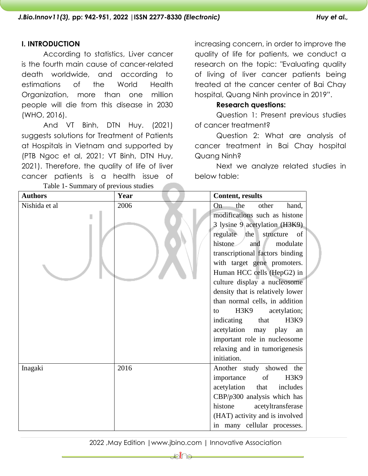# **I. INTRODUCTION**

According to statistics, Liver cancer is the fourth main cause of cancer-related death worldwide, and according to estimations of the World Health Organization, more than one million people will die from this disease in 2030 (WHO, 2016).

And VT Binh, DTN Huy. (2021) suggests solutions for [Treatment of Patients](https://scholar.google.com.vn/citations?view_op=view_citation&hl=vi&user=jlPeV7cAAAAJ&cstart=20&pagesize=80&citation_for_view=jlPeV7cAAAAJ:2tRrZ1ZAMYUC)  [at Hospitals in Vietnam](https://scholar.google.com.vn/citations?view_op=view_citation&hl=vi&user=jlPeV7cAAAAJ&cstart=20&pagesize=80&citation_for_view=jlPeV7cAAAAJ:2tRrZ1ZAMYUC) and supported by (PTB Ngoc et al, 2021; VT Binh, DTN Huy, 2021). Therefore, the quality of life of liver cancer patients is a health issue of Table 1- Summary of previous studies

increasing concern, in order to improve the quality of life for patients, we conduct a research on the topic: "Evaluating quality of living of liver cancer patients being treated at the cancer center of Bai Chay hospital, Quang Ninh province in 2019".

#### **Research questions:**

Question 1: Present previous studies of cancer treatment?

Question 2: What are analysis of cancer treatment in Bai Chay hospital Quang Ninh?

Next we analyze related studies in below table:

| <b>Authors</b> | Year | <b>Content, results</b>                    |  |  |  |  |
|----------------|------|--------------------------------------------|--|--|--|--|
| Nishida et al  | 2006 | the<br>other<br>On-<br>hand,               |  |  |  |  |
|                |      | modifications such as histone              |  |  |  |  |
|                |      | 3 lysine 9 acetylation (H3K9)              |  |  |  |  |
|                |      | regulate the<br>structure<br><sub>of</sub> |  |  |  |  |
|                |      | histone<br>modulate<br>and                 |  |  |  |  |
|                |      | transcriptional factors binding            |  |  |  |  |
|                |      | with target gene promoters.                |  |  |  |  |
|                |      | Human HCC cells (HepG2) in                 |  |  |  |  |
|                |      | culture display a nucleosome               |  |  |  |  |
|                |      | density that is relatively lower           |  |  |  |  |
|                |      | than normal cells, in addition             |  |  |  |  |
|                |      | H3K9<br>acetylation;<br>to                 |  |  |  |  |
|                |      | indicating that<br>H3K9                    |  |  |  |  |
|                |      | acetylation may play<br>an                 |  |  |  |  |
|                |      | important role in nucleosome               |  |  |  |  |
|                |      | relaxing and in tumorigenesis              |  |  |  |  |
|                |      | initiation.                                |  |  |  |  |
| Inagaki        | 2016 | Another study showed the                   |  |  |  |  |
|                |      | H3K9<br>importance<br>of                   |  |  |  |  |
|                |      | acetylation<br>that<br>includes            |  |  |  |  |
|                |      | CBP/ $p300$ analysis which has             |  |  |  |  |
|                |      | histone<br>acetyltransferase               |  |  |  |  |
|                |      | (HAT) activity and is involved             |  |  |  |  |
|                |      | in many cellular processes.                |  |  |  |  |

## 2022 ,May Edition |www.jbino.com | Innovative Association

⊧ो∦⊖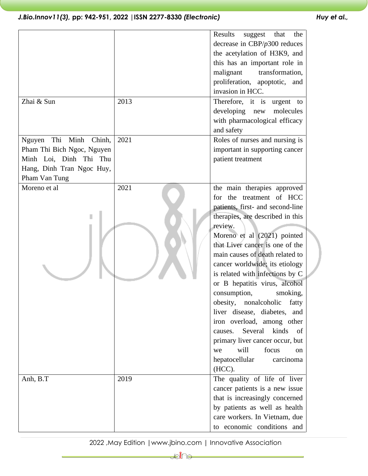|                              |      | Results<br>suggest<br>the<br>that                                 |  |                               |  |
|------------------------------|------|-------------------------------------------------------------------|--|-------------------------------|--|
|                              |      | decrease in $CBP/p300$ reduces                                    |  |                               |  |
|                              |      | the acetylation of H3K9, and                                      |  |                               |  |
|                              |      | this has an important role in                                     |  |                               |  |
|                              |      | malignant<br>transformation,                                      |  |                               |  |
|                              |      | proliferation, apoptotic, and                                     |  |                               |  |
|                              |      | invasion in HCC.                                                  |  |                               |  |
| Zhai & Sun                   | 2013 | Therefore, it is urgent to                                        |  |                               |  |
|                              |      | developing<br>molecules<br>new                                    |  |                               |  |
|                              |      | with pharmacological efficacy                                     |  |                               |  |
|                              |      | and safety                                                        |  |                               |  |
| Thi<br>Minh Chinh,<br>Nguyen | 2021 | Roles of nurses and nursing is                                    |  |                               |  |
| Pham Thi Bich Ngoc, Nguyen   |      | important in supporting cancer                                    |  |                               |  |
| Minh Loi, Dinh Thi Thu       |      | patient treatment                                                 |  |                               |  |
| Hang, Dinh Tran Ngoc Huy,    |      |                                                                   |  |                               |  |
| Pham Van Tung                |      |                                                                   |  |                               |  |
| Moreno et al                 | 2021 | the main therapies approved                                       |  |                               |  |
|                              |      | for the treatment of HCC                                          |  |                               |  |
|                              |      | patients, first- and second-line                                  |  |                               |  |
|                              |      | therapies, are described in this                                  |  |                               |  |
|                              |      | review.<br>Moreno et al (2021) pointed                            |  |                               |  |
|                              |      |                                                                   |  |                               |  |
|                              |      | main causes of death related to<br>cancer worldwide; its etiology |  |                               |  |
|                              |      |                                                                   |  |                               |  |
|                              |      |                                                                   |  | or B hepatitis virus, alcohol |  |
|                              |      | consumption,<br>smoking,                                          |  |                               |  |
|                              |      | obesity,<br>nonalcoholic<br>fatty                                 |  |                               |  |
|                              |      | liver disease, diabetes,<br>and                                   |  |                               |  |
|                              |      | iron overload, among other                                        |  |                               |  |
|                              |      | Several<br>kinds<br>causes.<br>of                                 |  |                               |  |
|                              |      | primary liver cancer occur, but                                   |  |                               |  |
|                              |      | will<br>focus<br>we<br><sub>on</sub>                              |  |                               |  |
|                              |      | hepatocellular<br>carcinoma                                       |  |                               |  |
|                              |      | (HCC).                                                            |  |                               |  |
| Anh, B.T                     | 2019 | The quality of life of liver                                      |  |                               |  |
|                              |      | cancer patients is a new issue                                    |  |                               |  |
|                              |      | that is increasingly concerned                                    |  |                               |  |
|                              |      | by patients as well as health                                     |  |                               |  |
|                              |      | care workers. In Vietnam, due                                     |  |                               |  |
|                              |      | to economic conditions and                                        |  |                               |  |

# 2022 ,May Edition |www.jbino.com | Innovative Association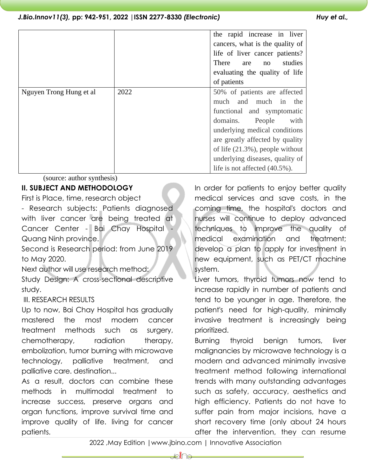|                         |      | the rapid increase in liver<br>cancers, what is the quality of<br>life of liver cancer patients?<br><b>There</b><br>studies<br>are<br>no<br>evaluating the quality of life<br>of patients                                                                                                                    |
|-------------------------|------|--------------------------------------------------------------------------------------------------------------------------------------------------------------------------------------------------------------------------------------------------------------------------------------------------------------|
| Nguyen Trong Hung et al | 2022 | 50% of patients are affected<br>much<br>and<br>much in<br>the<br>functional and symptomatic<br>People<br>domains.<br>with<br>underlying medical conditions<br>are greatly affected by quality<br>of life $(21.3\%)$ , people without<br>underlying diseases, quality of<br>life is not affected $(40.5\%)$ . |

(source: author synthesis)

# **II. SUBJECT AND METHODOLOGY**

First is Place, time, research object

- Research subjects: Patients diagnosed with liver cancer are being treated at Cancer Center - Bai Chay Hospital Quang Ninh province.

Second is Research period: from June 2019 to May 2020.

Next author will use research method: Study Design: A cross-sectional descriptive study.

# III. RESEARCH RESULTS

Up to now, Bai Chay Hospital has gradually mastered the most modern cancer treatment methods such as surgery, chemotherapy, radiation therapy, embolization, tumor burning with microwave technology, palliative treatment, and palliative care. destination...

As a result, doctors can combine these methods in multimodal treatment to increase success, preserve organs and organ functions, improve survival time and improve quality of life. living for cancer patients.

In order for patients to enjoy better quality medical services and save costs, in the coming time, the hospital's doctors and nurses will continue to deploy advanced techniques to improve the quality of medical examination and treatment; develop a plan to apply for investment in new equipment, such as PET/CT machine system.

Liver tumors, thyroid tumors now tend to increase rapidly in number of patients and tend to be younger in age. Therefore, the patient's need for high-quality, minimally invasive treatment is increasingly being prioritized.

Burning thyroid benign tumors, liver malignancies by microwave technology is a modern and advanced minimally invasive treatment method following international trends with many outstanding advantages such as safety, accuracy, aesthetics and high efficiency. Patients do not have to suffer pain from major incisions, have a short recovery time (only about 24 hours after the intervention, they can resume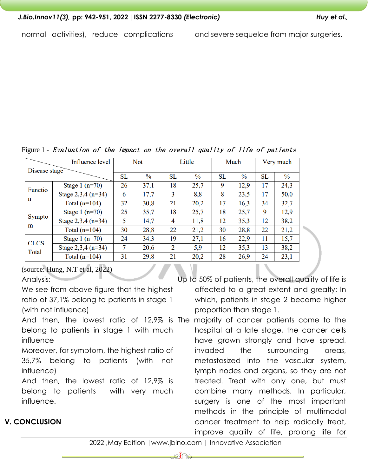| gure 1 - Evaluation of the impact on the overall quality of life of patients |                      |    |               |    |               |    |      |    |               |
|------------------------------------------------------------------------------|----------------------|----|---------------|----|---------------|----|------|----|---------------|
| Influence level<br>Disease stage                                             |                      |    | Not           |    | Little        |    | Much |    | Very much     |
|                                                                              |                      |    |               |    |               |    |      |    |               |
|                                                                              |                      | SL | $\frac{6}{6}$ | SL | $\frac{6}{6}$ | SL | $\%$ | SL | $\frac{0}{0}$ |
| Functio<br>n                                                                 | Stage $1(n=70)$      | 26 | 37,1          | 18 | 25,7          | 9  | 12,9 | 17 | 24,3          |
|                                                                              | Stage $2,3,4$ (n=34) | 6  | 17,7          | 3  | 8,8           | 8  | 23,5 | 17 | 50,0          |
|                                                                              | Total $(n=104)$      | 32 | 30,8          | 21 | 20,2          | 17 | 16,3 | 34 | 32,7          |
| Sympto<br>m                                                                  | Stage $1(n=70)$      | 25 | 35,7          | 18 | 25,7          | 18 | 25,7 | 9  | 12,9          |
|                                                                              | Stage $2,3,4$ (n=34) | 5  | 14,7          | 4  | 11,8          | 12 | 35,3 | 12 | 38,2          |
|                                                                              | Total $(n=104)$      | 30 | 28,8          | 22 | 21,2          | 30 | 28,8 | 22 | 21,2          |
| $-1$                                                                         | Stage 1 $(n=70)$     | 24 | 34,3          | 19 | 27,1          | 16 | 22,9 | 11 | 15,7          |

 $\overline{2}$ 

21

5,9

20,2

12

28

35,3

26,9

Figure 1 – *Evaluation of the impact on the overall quality of life of patients* 

(source: Hung, N.T et al, 2022)

Stage 2,3,4 (n=34)

Total  $(n=104)$ 

Analysis:

**CLCS** 

Total

**V. CONCLUSION**

We see from above figure that the highest ratio of 37,1% belong to patients in stage 1 (with not influence)

 $\overline{7}$ 

31

20,6

29,8

belong to patients in stage 1 with much influence

Moreover, for symptom, the highest ratio of 35,7% belong to patients (with not influence)

And then, the lowest ratio of 12,9% is belong to patients with very much influence.

Up to 50% of patients, the overall quality of life is affected to a great extent and greatly: In which, patients in stage 2 become higher proportion than stage 1.

13

24

38,2

 $23,1$ 

And then, the lowest ratio of 12,9% is The majority of cancer patients come to the hospital at a late stage, the cancer cells have grown strongly and have spread, invaded the surrounding areas, metastasized into the vascular system, lymph nodes and organs, so they are not treated. Treat with only one, but must combine many methods. In particular, surgery is one of the most important methods in the principle of multimodal cancer treatment to help radically treat, improve quality of life, prolong life for

## 2022 ,May Edition |www.jbino.com | Innovative Association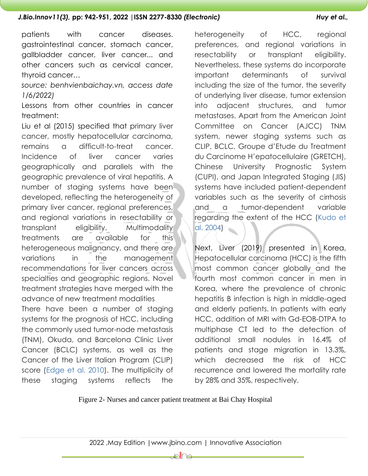patients with cancer diseases. gastrointestinal cancer, stomach cancer, gallbladder cancer, liver cancer... and other cancers such as cervical cancer, thyroid cancer…

*source: benhvienbaichay.vn, access date 1/6/2022)*

Lessons from other countries in cancer treatment:

Liu et al (2015) specified that primary liver cancer, mostly hepatocellular carcinoma, remains a difficult-to-treat cancer. Incidence of liver cancer varies geographically and parallels with the geographic prevalence of viral hepatitis. A number of staging systems have been developed, reflecting the heterogeneity of primary liver cancer, regional preferences, and regional variations in resectability or transplant eligibility. Multimodality treatments are available for this heterogeneous malignancy, and there are variations in the management recommendations for liver cancers across specialties and geographic regions. Novel treatment strategies have merged with the advance of new treatment modalities There have been a number of staging systems for the prognosis of HCC, including the commonly used tumor-node metastasis (TNM), Okuda, and Barcelona Clinic Liver Cancer (BCLC) systems, as well as the Cancer of the Liver Italian Program (CLIP) score [\(Edge et al. 2010\)](https://www.ncbi.nlm.nih.gov/pmc/articles/PMC4561392/#A021535C20). The multiplicity of these staging systems reflects the

heterogeneity of HCC, regional preferences, and regional variations in resectability or transplant eligibility. Nevertheless, these systems do incorporate important determinants of survival including the size of the tumor, the severity of underlying liver disease, tumor extension into adjacent structures, and tumor metastases. Apart from the American Joint Committee on Cancer (AJCC) TNM system, newer staging systems such as CLIP, BCLC, Groupe d'Etude du Treatment du Carcinome H'epatocellulaire (GRETCH), Chinese University Prognostic System (CUPI), and Japan Integrated Staging (JIS) systems have included patient-dependent variables such as the severity of cirrhosis and a tumor-dependent variable regarding the extent of the HCC [\(Kudo et](https://www.ncbi.nlm.nih.gov/pmc/articles/PMC4561392/#A021535C45)  [al. 2004\)](https://www.ncbi.nlm.nih.gov/pmc/articles/PMC4561392/#A021535C45)

Next, Liver (2019) presented in Korea, Hepatocellular carcinoma (HCC) is the fifth most common cancer globally and the fourth most common cancer in men in Korea, where the prevalence of chronic hepatitis B infection is high in middle-aged and elderly patients. In patients with early HCC, addition of MRI with Gd-EOB-DTPA to multiphase CT led to the detection of additional small nodules in 16.4% of patients and stage migration in 13.3%, which decreased the risk of HCC recurrence and lowered the mortality rate by 28% and 35%, respectively.

Figure 2- Nurses and cancer patient treatment at Bai Chay Hospital

₽€∏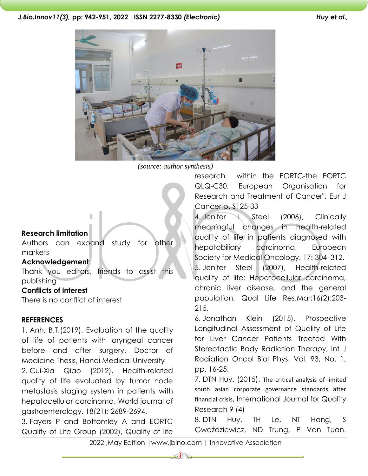

*(source: author synthesis)*

# **Research limitation**

Authors can expand study for other markets

## **Acknowledgement**

Thank you editors, friends to assist this publishing

## **Conflicts of interest**

There is no conflict of interest

#### **REFERENCES**

1. Anh, B.T.(2019). Evaluation of the quality of life of patients with laryngeal cancer before and after surgery, Doctor of Medicine Thesis, Hanoi Medical University 2. Cui-Xia Qiao (2012), Health-related quality of life evaluated by tumor node metastasis staging system in patients with hepatocellular carcinoma, World journal of gastroenterology. 18(21): 2689-2694.

3. Fayers P and Bottomley A and EORTC Quality of Life Group (2002), Quality of life research within the EORTC-the EORTC QLQ-C30. European Organisation for Research and Treatment of Cancer", Eur J Cancer p. S125-33

4. Jenifer L Steel (2006), Clinically meaningful changes in health-related quality of life in patients diagnosed with hepatobiliary carcinoma, European Society for Medical Oncology. 17: 304–312. 5. Jenifer Steel (2007), Health-related quality of life: Hepatocellular carcinoma, chronic liver disease, and the general population, Qual Life Res.Mar;16(2):203- 215.

6. Jonathan Klein (2015), Prospective Longitudinal Assessment of Quality of Life for Liver Cancer Patients Treated With Stereotactic Body Radiation Therapy, Int J Radiation Oncol Biol Phys. Vol. 93, No. 1, pp. 16-25.

7. DTN Huy. (2015). [The critical analysis of limited](https://scholar.google.com.vn/citations?view_op=view_citation&hl=vi&user=jlPeV7cAAAAJ&citation_for_view=jlPeV7cAAAAJ:QIV2ME_5wuYC)  [south asian corporate governance standards after](https://scholar.google.com.vn/citations?view_op=view_citation&hl=vi&user=jlPeV7cAAAAJ&citation_for_view=jlPeV7cAAAAJ:QIV2ME_5wuYC)  [financial crisis](https://scholar.google.com.vn/citations?view_op=view_citation&hl=vi&user=jlPeV7cAAAAJ&citation_for_view=jlPeV7cAAAAJ:QIV2ME_5wuYC), International Journal for Quality Research 9 (4)

8. DTN Huy, TH Le, NT Hang, S Gwoździewicz, ND Trung, P Van Tuan.

2022 ,May Edition |www.jbino.com | Innovative Association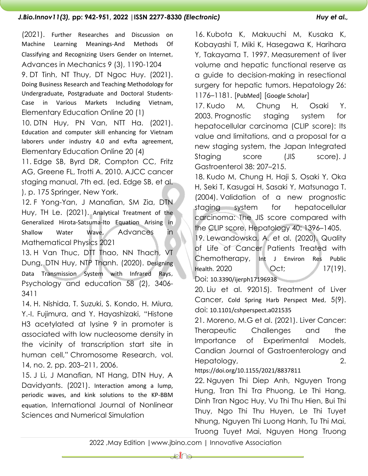(2021). Further Researches and Discussion on Machine Learning Meanings-And Methods Of Classifying and Recognizing Users Gender on Internet, Advances in Mechanics 9 (3), 1190-1204

9. DT Tinh, NT Thuy, DT Ngoc Huy. (2021). Doing Business Research and Teaching Methodology for Undergraduate, Postgraduate and Doctoral Students-Case in Various Markets Including Vietnam, Elementary Education Online 20 (1)

10. DTN Huy, PN Van, NTT Ha. (2021). Education and computer skill enhancing for Vietnam laborers under industry 4.0 and evfta agreement, Elementary Education Online 20 (4)

11. Edge SB, Byrd DR, Compton CC, Fritz AG, Greene FL, Trotti A. 2010. AJCC cancer staging manual, 7th ed. (ed. Edge SB, et al. ), p. 175 Springer, New York.

12. F Yong-Yan, J Manafian, SM Zia, DTN Huy, TH Le. (2021). Analytical Treatment of the Generalized Hirota-Satsuma-Ito Equation Arising in Shallow Water Wave, Advances in Mathematical Physics 2021

13. H Van Thuc, DTT Thao, NN Thach, VT Dung, DTN Huy, NTP Thanh. (2020). Designing Data Transmission System with Infrared Rays, Psychology and education 58 (2), 3406- 3411

14. H. Nishida, T. Suzuki, S. Kondo, H. Miura, Y.-I. Fujimura, and Y. Hayashizaki, "Histone H3 acetylated at lysine 9 in promoter is associated with low nucleosome density in the vicinity of transcription start site in human cell," Chromosome Research, vol. 14, no. 2, pp. 203–211, 2006.

15. J Li, J Manafian, NT Hang, DTN Huy, A Davidyants. (2021). Interaction among a lump, periodic waves, and kink solutions to the KP-BBM equation, International Journal of Nonlinear Sciences and Numerical Simulation

16. Kubota K, Makuuchi M, Kusaka K, Kobayashi T, Miki K, Hasegawa K, Harihara Y, Takayama T. 1997. Measurement of liver volume and hepatic functional reserve as a guide to decision-making in resectional surgery for hepatic tumors. Hepatology 26: 1176–1181. [PubMed] [Google Scholar]

17. Kudo M, Chung H, Osaki Y. 2003. Prognostic staging system for hepatocellular carcinoma (CLIP score): Its value and limitations, and a proposal for a new staging system, the Japan Integrated Staging score (JIS score). J Gastroenterol 38: 207–215.

18. Kudo M, Chung H, Haji S, Osaki Y, Oka H, Seki T, Kasugai H, Sasaki Y, Matsunaga T. (2004). Validation of a new prognostic staging system for hepatocellular carcinoma: The JIS score compared with the CLIP score. Hepatology 40: 1396–1405.

19. Lewandowska, A. et al. (2020). Quality of Life of Cancer Patients Treated with Chemotherapy, Int J Environ Res Public Health. 2020 Oct; 17(19).

Doi: 10.3390/ijerph17196938

20. Liu et al. 92015). Treatment of Liver Cancer, Cold Spring Harb Perspect Med, 5(9). doi: 10.1101/cshperspect.a021535

21. Moreno, M.G et al. (2021). Liver Cancer: Therapeutic Challenges and the Importance of Experimental Models, Candian Journal of Gastroenterology and Hepatology, 2.

## https://doi.org/10.1155/2021/8837811

22. Nguyen Thi Diep Anh, Nguyen Trong Hung, Tran Thi Tra Phuong, Le Thi Hang, Dinh Tran Ngoc Huy, Vu Thi Thu Hien, Bui Thi Thuy, Ngo Thi Thu Huyen, Le Thi Tuyet Nhung, Nguyen Thi Luong Hanh, Tu Thi Mai, Truong Tuyet Mai, Nguyen Hong Truong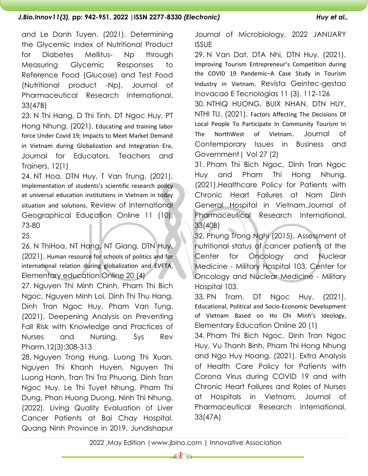and Le Danh Tuyen. (2021). Determining the Glycemic Index of Nutritional Product for Diabetes Mellitus- Np through Measuring Glycemic Responses to Reference Food (Glucose) and Test Food (Nutritional product -Np), Journal of Pharmaceutical Research International, 33(47B)

23. N Thi Hang, D Thi Tinh, DT Ngoc Huy, PT Hong Nhung. (2021). Educating and training labor force Under Covid 19; Impacts to Meet Market Demand in Vietnam during Globalization and Integration Era, Journal for Educators, Teachers and Trainers, 12(1)

24. NT Hoa, DTN Huy, T Van Trung. (2021). Implementation of students's scientific research policy at universal education institutions in Vietnam in today situation and solutions, Review of International Geographical Education Online 11 (10), 73-80

25.

26. N ThiHoa, NT Hang, NT Giang, DTN Huy. (2021). Human resource for schools of politics and for international relation during globalization and EVFTA, Elementary education Online 20 (4)

27. Nguyen Thi Minh Chinh, Pham Thi Bich Ngoc, Nguyen Minh Loi, Dinh Thi Thu Hang, Dinh Tran Ngoc Huy, Pham Van Tung. (2021). Deepening Analysis on Preventing Fall Risk with Knowledge and Practices of Nurses and Nursing, Sys Rev Pharm,12(3):308-313

28. Nguyen Trong Hung, Luong Thi Xuan, Nguyen Thi Khanh Huyen, Nguyen Thi Luong Hanh, Tran Thi Tra Phuong, Dinh Tran Ngoc Huy, Le Thi Tuyet Nhung, Pham Thi Dung, Phan Huong Duong, Ninh Thi Nhung. (2022). Living Quality Evaluation of Liver Cancer Patients at Bai Chay Hospital, Quang Ninh Province in 2019, Jundishapur

Journal of Microbiology, 2022 JANUARY ISSUE

29. N Van Dat, DTA Nhi, DTN Huy. (2021). Improving Tourism Entrepreneur's Competition during the COVID 19 Pandemic–A Case Study in Tourism Industry in Vietnam, Revista Geintec-gestao Inovacao E Tecnologias 11 (3), 112-126

30. NTHIQ HUONG, BUIX NHAN, DTN HUY, NTHI TU. (2021). Factors Affecting The Decisions Of Local People To Participate In Community Tourism In The NorthWest of Vietnam, Journal of Contemporary Issues in Business and Government| Vol 27 (2)

31. Pham Thi Bich Ngoc, Dinh Tran Ngoc Huy and Pham Thi Hong Nhung. (2021).Healthcare Policy for Patients with Chronic Heart Failures at Nam Dinh General Hospital in Vietnam,Journal of Pharmaceutical Research International, 33(40B)

32. Phung Trong Nghi (2015), Assessment of nutritional status of cancer patients at the Center for Oncology and Nuclear Medicine - Military Hospital 103, Center for Oncology and Nuclear Medicine - Military Hospital 103.

33. PN Tram, DT Ngoc Huy. (2021). Educational, Political and Socio-Economic Development of Vietnam Based on Ho Chi Minh's Ideology, Elementary Education Online 20 (1)

34. Pham Thi Bich Ngoc, Dinh Tran Ngoc Huy, Vu Thanh Binh, Pham Thi Hong Nhung and Ngo Huy Hoang. (2021). Extra Analysis of Health Care Policy for Patients with Corona Virus during COVID 19 and with Chronic Heart Failures and Roles of Nurses at Hospitals in Vietnam, Journal of Pharmaceutical Research International, 33(47A)